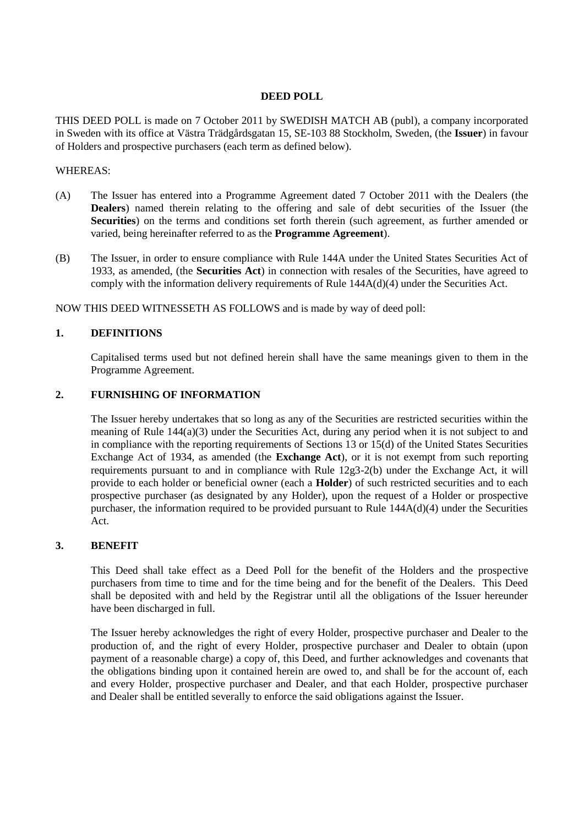#### **DEED POLL**

THIS DEED POLL is made on 7 October 2011 by SWEDISH MATCH AB (publ), a company incorporated in Sweden with its office at Västra Trädgårdsgatan 15, SE-103 88 Stockholm, Sweden, (the **Issuer**) in favour of Holders and prospective purchasers (each term as defined below).

#### WHEREAS:

- (A) The Issuer has entered into a Programme Agreement dated 7 October 2011 with the Dealers (the **Dealers**) named therein relating to the offering and sale of debt securities of the Issuer (the Securities) on the terms and conditions set forth therein (such agreement, as further amended or varied, being hereinafter referred to as the **Programme Agreement**).
- (B) The Issuer, in order to ensure compliance with Rule 144A under the United States Securities Act of 1933, as amended, (the **Securities Act**) in connection with resales of the Securities, have agreed to comply with the information delivery requirements of Rule 144A(d)(4) under the Securities Act.

NOW THIS DEED WITNESSETH AS FOLLOWS and is made by way of deed poll:

## **1. DEFINITIONS**

Capitalised terms used but not defined herein shall have the same meanings given to them in the Programme Agreement.

# **2. FURNISHING OF INFORMATION**

The Issuer hereby undertakes that so long as any of the Securities are restricted securities within the meaning of Rule 144(a)(3) under the Securities Act, during any period when it is not subject to and in compliance with the reporting requirements of Sections 13 or 15(d) of the United States Securities Exchange Act of 1934, as amended (the **Exchange Act**), or it is not exempt from such reporting requirements pursuant to and in compliance with Rule 12g3-2(b) under the Exchange Act, it will provide to each holder or beneficial owner (each a **Holder**) of such restricted securities and to each prospective purchaser (as designated by any Holder), upon the request of a Holder or prospective purchaser, the information required to be provided pursuant to Rule 144A(d)(4) under the Securities Act.

#### **3. BENEFIT**

This Deed shall take effect as a Deed Poll for the benefit of the Holders and the prospective purchasers from time to time and for the time being and for the benefit of the Dealers. This Deed shall be deposited with and held by the Registrar until all the obligations of the Issuer hereunder have been discharged in full.

The Issuer hereby acknowledges the right of every Holder, prospective purchaser and Dealer to the production of, and the right of every Holder, prospective purchaser and Dealer to obtain (upon payment of a reasonable charge) a copy of, this Deed, and further acknowledges and covenants that the obligations binding upon it contained herein are owed to, and shall be for the account of, each and every Holder, prospective purchaser and Dealer, and that each Holder, prospective purchaser and Dealer shall be entitled severally to enforce the said obligations against the Issuer.